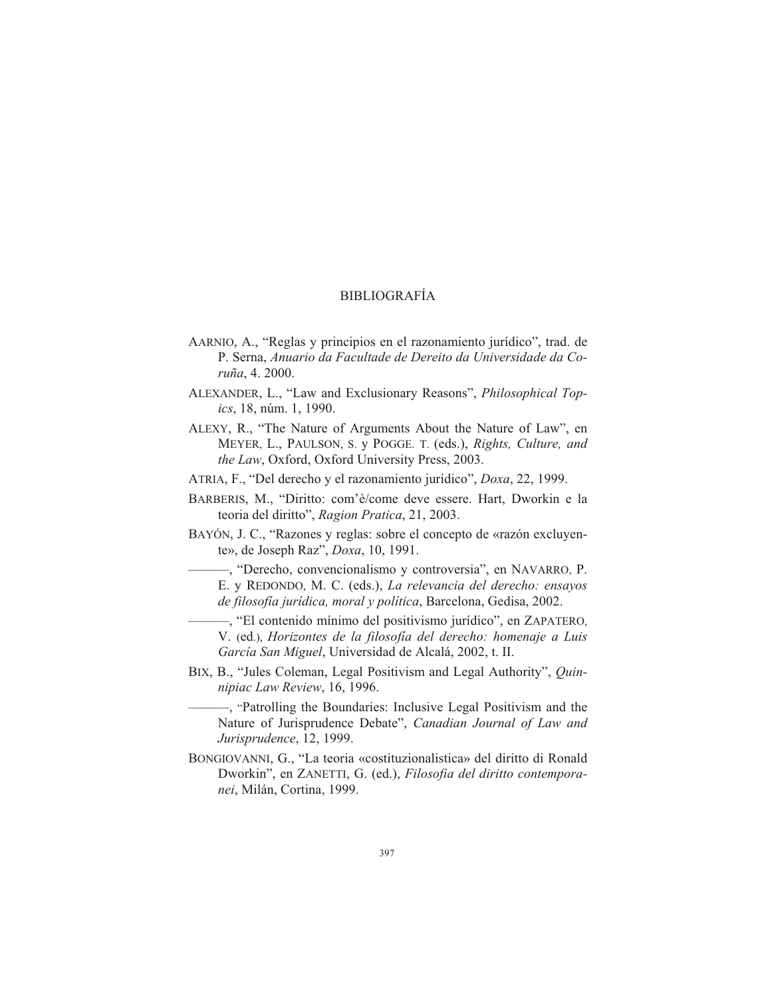## BIBLIOGRAFÍA

- AARNIO, A., "Reglas y principios en el razonamiento jurídico", trad. de P. Ser na, *Anua rio da Fa cul ta de de De rei to da Uni ver si da de da Co ru ña*, 4. 2000.
- ALEXANDER, L., "Law and Exclusionary Reasons", *Philosophical Topics*, 18, núm. 1, 1990.
- ALEXY, R., "The Nature of Arguments About the Nature of Law", en MEYER, L., PAULSON, S. y POGGE. T. (eds.), *Rights, Culture, and the Law*, Oxford, Oxford University Press, 2003.
- ATRIA, F., "Del derecho y el razonamiento jurídico", *Doxa*, 22, 1999.
- BARBERIS, M., "Diritto: com'è/come deve essere. Hart, Dworkin e la teoria del diritto", *Ragion Pratica*, 21, 2003.
- BAYÓN, J. C., "Razones y reglas: sobre el concepto de «razón excluyente», de Joseph Raz", *Doxa*, 10, 1991.
	- ——, "Derecho, convencionalismo y controversia", en NAVARRO, P. E. y REDONDO, M. C. (eds.), *La relevancia del derecho: ensayos de filosofía jurídica, moral y política, Barcelona, Gedisa, 2002.*
	- ——, "El contenido mínimo del positivismo jurídico", en ZAPATERO, V. (ed.), *Horizontes de la filosofía del derecho: homenaje a Luis García San Miguel*, Universidad de Alcalá, 2002, t. II.
- BIX, B., "Jules Coleman, Legal Positivism and Legal Authority", *Quinni piac Law Re view*, 16, 1996.
	- ——, "Patrolling the Boundaries: Inclusive Legal Positivism and the Nature of Jurisprudence Debate", *Canadian Journal of Law and Ju ris pru den ce*, 12, 1999.
- BONGIOVANNI, G., "La teoria «costituzionalistica» del diritto di Ronald Dworkin", en ZANETTI, G. (ed.), *Filosofia del diritto contemporanei*, Milán, Cortina, 1999.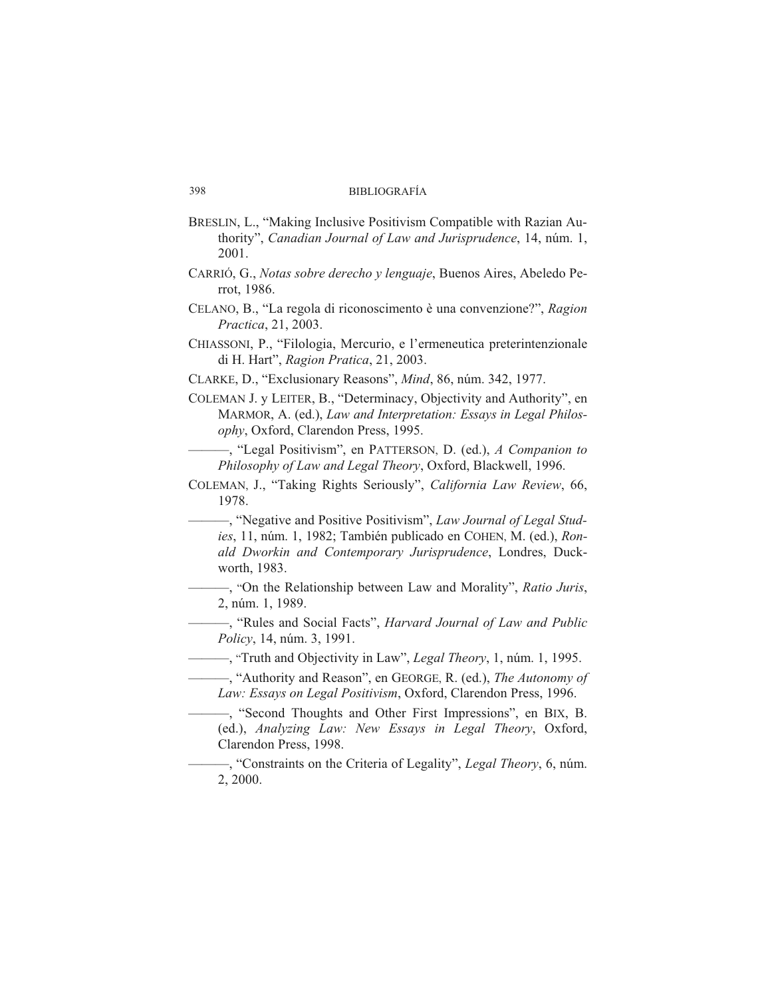- BRESLIN, L., "Making Inclusive Positivism Compatible with Razian Authority", *Canadian Journal of Law and Jurisprudence*, 14, núm. 1, 2001.
- CARRIÓ, G., *Notas sobre derecho y lenguaje*, Buenos Aires, Abeledo Perrot, 1986.
- CELANO, B., "La regola di riconoscimento è una convenzione?", *Ragion Practica*, 21, 2003.
- CHIASSONI, P., "Filologia, Mercurio, e l'ermeneutica preterintenzionale di H. Hart", *Ra gion Pra ti ca*, 21, 2003.
- CLARKE, D., "Exclusionary Reasons", *Mind*, 86, núm. 342, 1977.
- COLEMAN J. y LEITER, B., "Determinacy, Objectivity and Authority", en MARMOR, A. (ed.), *Law and Interpretation: Essays in Legal Philos*ophy, Oxford, Clarendon Press, 1995.

——, "Legal Positivism", en PATTERSON, D. (ed.), *A Companion to Philosophy of Law and Legal Theory*, Oxford, Blackwell, 1996.

COLEMAN, J., "Taking Rights Seriously", *California Law Review*, 66, 1978.

—, "Negative and Positive Positivism", *Law Journal of Legal Stud*ies, 11, núm. 1, 1982; También publicado en COHEN, M. (ed.), *Ron*ald Dworkin and Contemporary Jurisprudence, Londres, Duckworth, 1983.

——, "On the Relationship between Law and Morality", *Ratio Juris*, 2, núm. 1, 1989.

- - , "Rules and Social Facts", *Harvard Journal of Law and Public Po licy*, 14, núm. 3, 1991.

——, "Truth and Objectivity in Law", *Legal Theory*, 1, núm. 1, 1995.

- "Authority and Reason", en GEORGE, R. (ed.), *The Autonomy of Law: Essays on Legal Positivism, Oxford, Clarendon Press, 1996.* 

———, "Second Thoughts and Other First Impressions", en BIX, B. (ed.), *Analyzing Law: New Essays in Legal Theory*, Oxford, Clarendon Press, 1998.

——, "Constraints on the Criteria of Legality", *Legal Theory*, 6, núm. 2, 2000.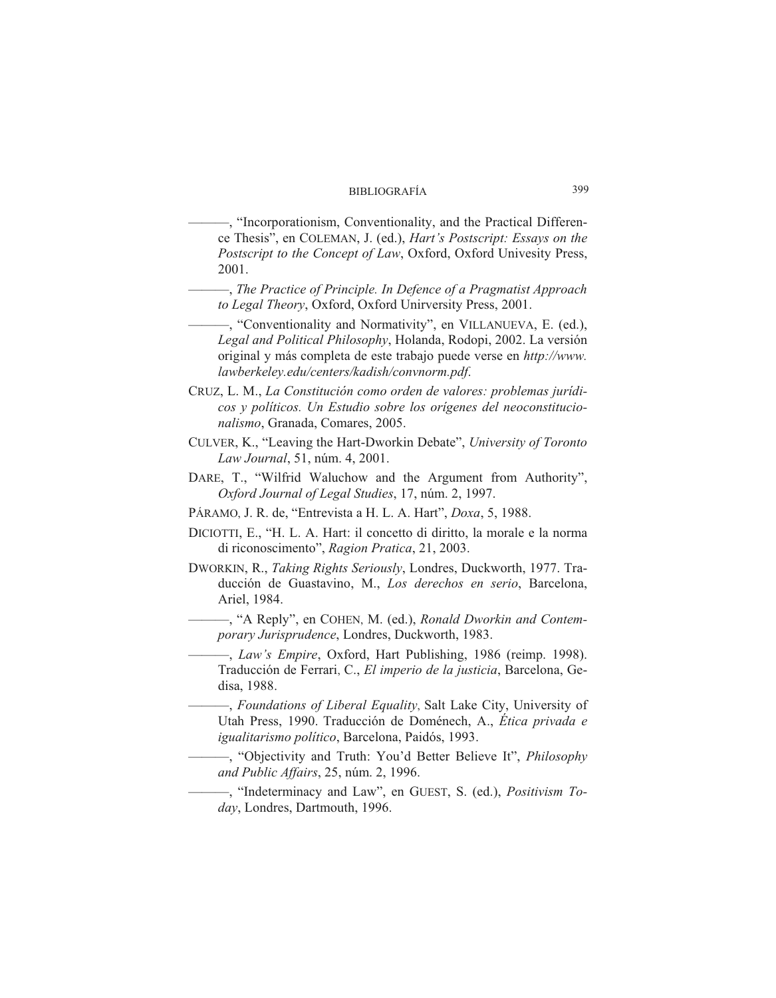—, "Incorporationism, Conventionality, and the Practical Difference The sis", en COLE MAN, J. (ed.), *Hart's Postscript: Essays on the Postscript to the Concept of Law*, Oxford, Oxford Univesity Press, 2001.

- ——, *The Practice of Principle. In Defence of a Pragmatist Approach to Legal Theory*, Oxford, Oxford Unirversity Press, 2001.
- —, "Conventionality and Normativity", en VILLANUEVA, E. (ed.), *Legal and Political Philosophy*, Holanda, Rodopi, 2002. La versión original y más completa de este trabajo puede verse en *http*://www. *law ber ke ley.edu/cen ters/ka dish/conv norm.pdf*.
- CRUZ, L. M., La Constitución como orden de valores: problemas jurídi*cos y po lí ti cos. Un Estu dio so bre los oríge nes del neo cons ti tu cio*   $n$ alismo, Granada, Comares, 2005.
- CULVER, K., "Leaving the Hart-Dworkin Debate", *University of Toronto Law Journal*, 51, núm. 4, 2001.
- DARE, T., "Wilfrid Waluchow and the Argument from Authority", *Oxford Journal of Legal Stu dies*, 17, núm. 2, 1997.
- PÁRAMO, J. R. de, "Entrevista a H. L. A. Hart", *Doxa*, 5, 1988.
- DICIOTTI, E., "H. L. A. Hart: il concetto di diritto, la morale e la norma di riconoscimento", Ragion Pratica, 21, 2003.
- DWORKIN, R., *Taking Rights Seriously*, Londres, Duckworth, 1977. Traducción de Guastavino, M., Los derechos en serio, Barcelona, Ariel, 1984.
	- **——, "A Reply", en COHEN, M. (ed.),** *Ronald Dworkin and Contemporary Jurisprudence*, Londres, Duckworth, 1983.

——, *Law's Empire*, Oxford, Hart Publishing, 1986 (reimp. 1998). Traducción de Ferrari, C., *El imperio de la justicia*, Barcelona, Gedisa, 1988.

——, *Foundations of Liberal Equality*, Salt Lake City, University of Utah Press, 1990. Traducción de Doménech, A., Ética privada e igualitarismo político, Barcelona, Paidós, 1993.

——, "Objectivity and Truth: You'd Better Believe It", *Philosophy and Pu blic Affairs*, 25, núm. 2, 1996.

------------, "Indeterminacy and Law", en GUEST, S. (ed.), *Positivism To*day, Londres, Dartmouth, 1996.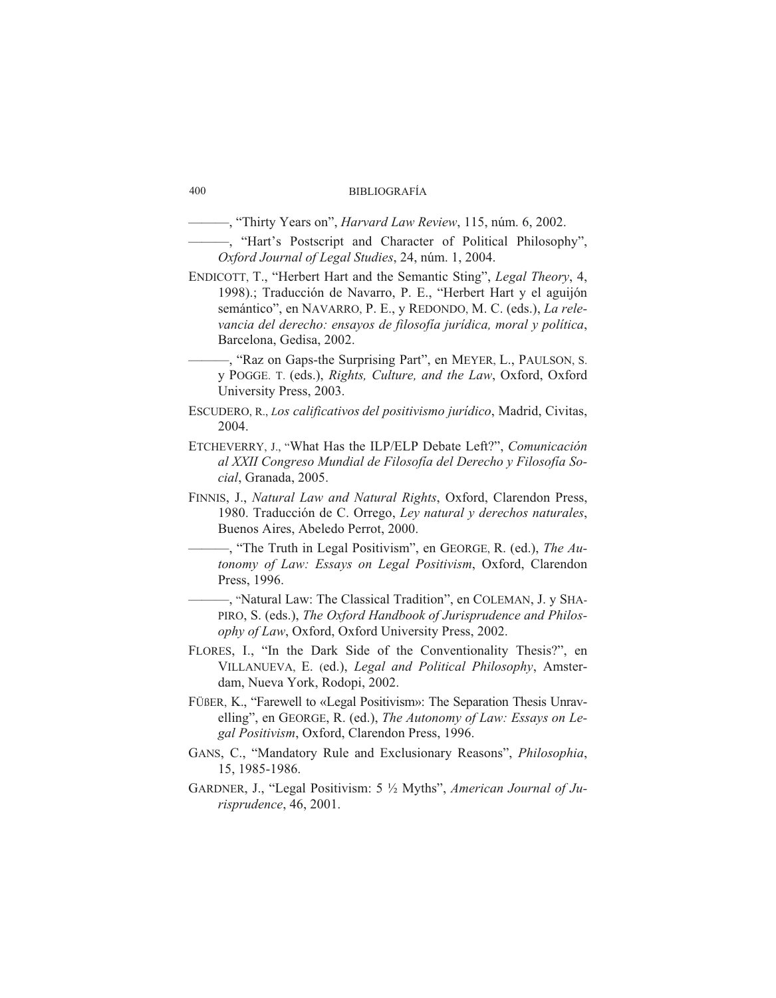———, "Thirty Years on", *Har vard Law Re view*, 115, núm. 6, 2002.

- - , "Hart's Postscript and Character of Political Philosophy", *Oxford Journal of Legal Stu dies*, 24, núm. 1, 2004.

- ENDICOTT, T., "Herbert Hart and the Semantic Sting", *Legal Theory*, 4, 1998).; Traducción de Navarro, P. E., "Herbert Hart y el aguijón semántico", en NAVARRO, P. E., y REDONDO, M. C. (eds.), *La relevan cia del de re cho: ensa yos de fi lo so fía ju rí di ca, mo ral y po lí ti ca*, Barcelona, Gedisa, 2002.
	- ———, "Raz on Gaps-the Surprising Part", en MEYER, L., PAULSON, S. y POGGE. T. (eds.), *Rights, Culture, and the Law*, Oxford, Oxford University Press, 2003.
- ESCUDERO, R., *Los calificativos del positivismo jurídico*, Madrid, Civitas, 2004.
- ETCHEVERRY, J., "What Has the ILP/ELP Debate Left?", *Comunicación al XXII Con gre so Mun dial de Fi lo so fía del De re cho y Fi lo so fía So cial*, Granada, 2005.
- FINNIS, J., *Natural Law and Natural Rights*, Oxford, Clarendon Press, 1980. Traducción de C. Orrego, *Ley natural y derechos naturales*, Buenos Aires, Abeledo Perrot, 2000.
	- ——, "The Truth in Legal Positivism", en GEORGE, R. (ed.), *The Autonomy of Law: Essays on Legal Positivism, Oxford, Clarendon* Press, 1996.
	- ——, "Natural Law: The Classical Tradition", en COLEMAN, J. y SHA-PIRO, S. (eds.), *The Oxford Handbook of Jurisprudence and Philosophy of Law*, Oxford, Oxford University Press, 2002.
- FLORES, I., "In the Dark Side of the Conventionality Thesis?", en VILLANUEVA, E. (ed.), *Legal and Political Philosophy*, Amsterdam, Nueva York, Rodopi, 2002.
- FÜßER, K., "Farewell to «Legal Positivism»: The Separation Thesis Unravelling", en GEORGE, R. (ed.), *The Autonomy of Law: Essays on Le*gal Positivism, Oxford, Clarendon Press, 1996.
- GANS, C., "Mandatory Rule and Exclusionary Reasons", *Philosophia*, 15, 1985-1986.
- GARDNER, J., "Legal Positivism: 5  $\frac{1}{2}$  Myths", *American Journal of Juris pru den ce*, 46, 2001.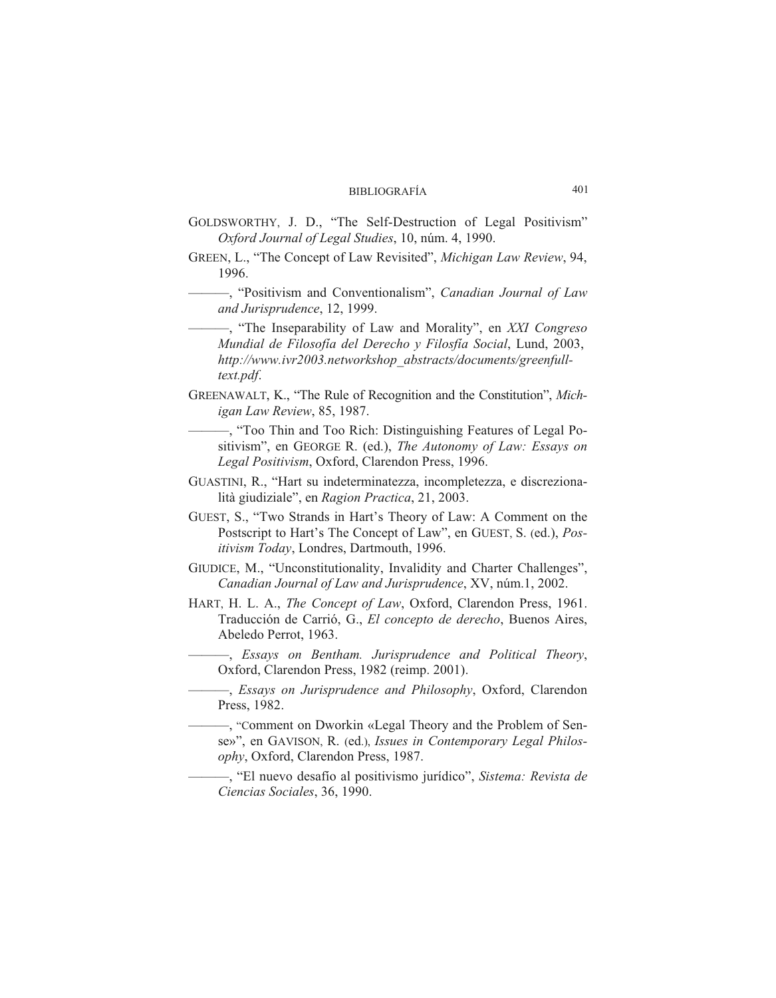- GOLDSWORTHY, J. D., "The Self-Destruction of Legal Positivism" *Oxford Journal of Legal Stu dies*, 10, núm. 4, 1990.
- GREEN, L., "The Concept of Law Revisited", *Michigan Law Review*, 94, 1996.

----, "Positivism and Conventionalism", *Canadian Journal of Law* and Jurisprudence, 12, 1999.

- ——, "The Inseparability of Law and Morality", en *XXI Congreso Mundial de Filosofía del Derecho y Filosfía Social*, Lund, 2003, http://www.ivr2003.networkshop\_abstracts/documents/greenfull*text.pdf*.
- GREENAWALT, K., "The Rule of Recognition and the Constitution", *Michigan Law Review*, 85, 1987.
	- ——, "Too Thin and Too Rich: Distinguishing Features of Legal Positivism", en GEORGE R. (ed.), *The Autonomy of Law: Essays on* Legal Positivism, Oxford, Clarendon Press, 1996.
- GUASTINI, R., "Hart su indeterminatezza, incompletezza, e discrezionalità giudiziale", en *Ragion Practica*, 21, 2003.
- GUEST, S., "Two Strands in Hart's Theory of Law: A Comment on the Postscript to Hart's The Concept of Law", en GUEST, S. (ed.), *Positivism Today*, Londres, Dartmouth, 1996.
- GIUDICE, M., "Unconstitutionality, Invalidity and Charter Challenges", *Canadian Journal of Law and Jurisprudence, XV, núm.1, 2002.*
- HART, H. L. A., *The Concept of Law*, Oxford, Clarendon Press, 1961. Traducción de Carrió, G., *El concepto de derecho*, Buenos Aires, Abeledo Perrot, 1963.

——, *Essays on Bentham. Jurisprudence and Political Theory*, Oxford, Clarendon Press, 1982 (reimp. 2001).

——, *Essays on Jurisprudence and Philosophy*, Oxford, Clarendon Press, 1982.

——, "Comment on Dworkin «Legal Theory and the Problem of Sense»", en GAVISON, R. (ed.), *Issues in Contemporary Legal Philos*ophy, Oxford, Clarendon Press, 1987.

———, "El nuevo desafío al positivismo jurídico", *Sistema: Revista de Ciencias Sociales, 36, 1990.*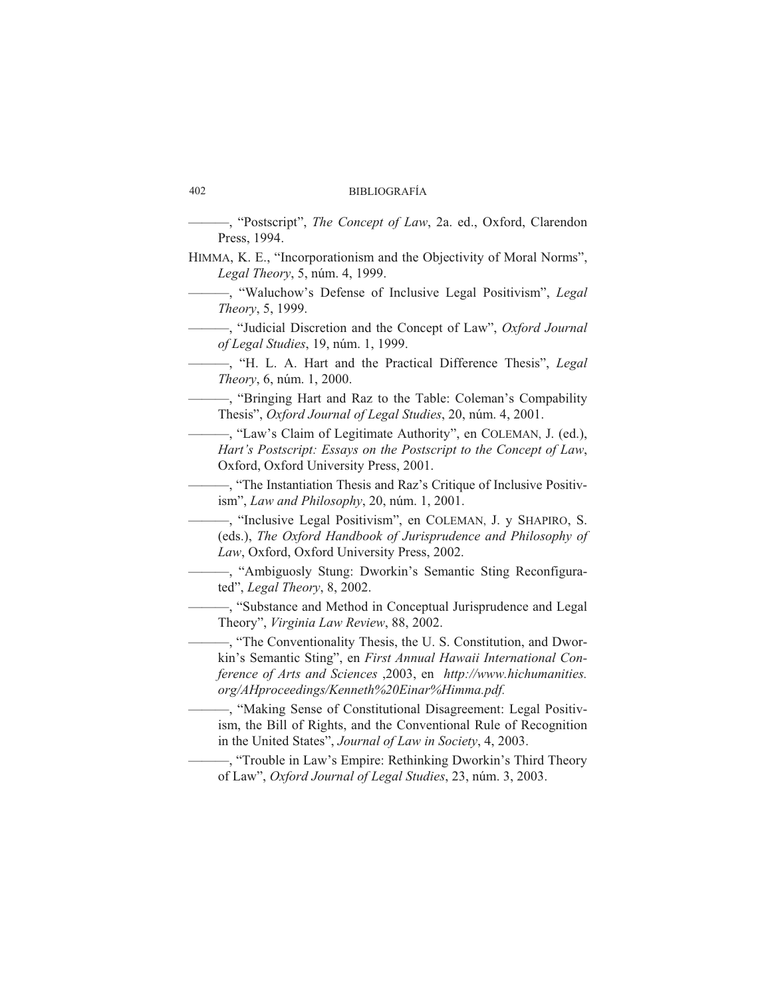## 402 BIBLIOGRAFÍA

—, "Postscript", *The Concept of Law*, 2a. ed., Oxford, Clarendon Press, 1994.

HIMMA, K. E., "Incorporationism and the Objectivity of Moral Norms", *Le gal Theory*, 5, núm. 4, 1999.

——, "Waluchow's Defense of Inclusive Legal Positivism", *Legal Theory*, 5, 1999.

———, "Ju di cial Discretion and the Con cept of Law", *Oxford Journal of Le gal Stu dies*, 19, núm. 1, 1999.

---, "H. L. A. Hart and the Practical Difference Thesis", *Legal Theory*, 6, núm. 1, 2000.

——, "Bringing Hart and Raz to the Table: Coleman's Compability The sis", *Oxford Journal of Legal Stu dies*, 20, núm. 4, 2001.

- "Law's Claim of Legitimate Authority", en COLEMAN, J. (ed.), *Hart's Postscript: Essays on the Postscript to the Concept of Law*, Oxford, Oxford University Press, 2001.

———, "The Instan tia tion The sis and Raz's Cri ti que of Inclu si ve Po si tivism", *Law and Philosophy*, 20, núm. 1, 2001.

——, "Inclusive Legal Positivism", en COLEMAN, J. y SHAPIRO, S. (eds.), *The Oxford Handbook of Jurisprudence and Philosophy of* Law, Oxford, Oxford University Press, 2002.

——, "Ambiguosly Stung: Dworkin's Semantic Sting Reconfigurated", *Le gal Theory*, 8, 2002.

- Substance and Method in Conceptual Jurisprudence and Legal Theory", *Virginia Law Review*, 88, 2002.

——, "The Conventionality Thesis, the U. S. Constitution, and Dworkin's Semantic Sting", en *First Annual Hawaii International Conference of Arts and Sciences* , 2003, en *http://www.hichumanities. org/AHpro cee dings/Ken neth%20Ei nar%Him ma.pdf.*

——, "Making Sense of Constitutional Disagreement: Legal Positivism, the Bill of Rights, and the Conventional Rule of Recognition in the United States", *Journal of Law in Society*, 4, 2003.

-, "Trouble in Law's Empire: Rethinking Dworkin's Third Theory of Law", *Oxford Journal of Legal Stu dies*, 23, núm. 3, 2003.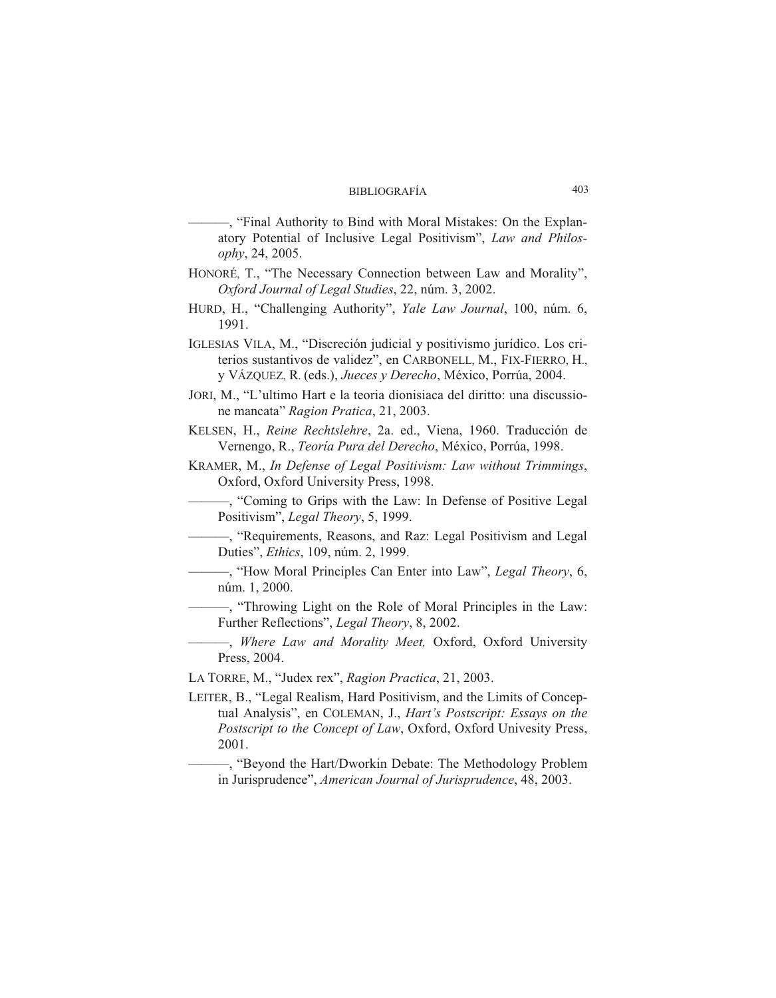—, "Final Authority to Bind with Moral Mistakes: On the Explanatory Potential of Inclusive Legal Positivism", *Law and Philosophy*, 24, 2005.

- HONORÉ, T., "The Necessary Connection between Law and Morality", *Oxford Journal of Legal Stu dies*, 22, núm. 3, 2002.
- HURD, H., "Challenging Authority", *Yale Law Journal*, 100, núm. 6, 1991.
- IGLESIAS VILA, M., "Discreción judicial y positivismo jurídico. Los criterios sustantivos de validez", en CARBONELL, M., FIX-FIERRO, H., y VÁZQUEZ, R. (eds.), *Jueces y Derecho*, México, Porrúa, 2004.
- JORI, M., "L'ultimo Hart e la teoria dionisiaca del diritto: una discussione mancata" *Ragion Pratica*, 21, 2003.
- KELSEN, H., *Reine Rechtslehre*, 2a. ed., Viena, 1960. Traducción de Vernengo, R., *Teoría Pura del Derecho*, México, Porrúa, 1998.
- KRAMER, M., *In Defense of Legal Positivism: Law without Trimmings*, Oxford, Oxford University Press, 1998.

——, "Coming to Grips with the Law: In Defense of Positive Legal Positivism", *Legal Theory*, 5, 1999.

———, "Requirements, Reasons, and Raz: Legal Positivism and Legal Du ties", *Ethics*, 109, núm. 2, 1999.

——, "How Moral Principles Can Enter into Law", *Legal Theory*, 6, núm. 1, 2000.

——, "Throwing Light on the Role of Moral Principles in the Law: Further Reflections", *Legal Theory*, 8, 2002.

- ——, *Where Law and Morality Meet*, Oxford, Oxford University Press, 2004.
- LA TORRE, M., "Judex rex", Ragion Practica, 21, 2003.
- LEITER, B., "Legal Realism, Hard Positivism, and the Limits of Conceptual Analysis", en COLEMAN, J., *Hart's Postscript: Essays on the* Postscript to the Concept of Law, Oxford, Oxford Univesity Press, 2001.

——, "Beyond the Hart/Dworkin Debate: The Methodology Problem in Jurisprudence", *American Journal of Jurisprudence*, 48, 2003.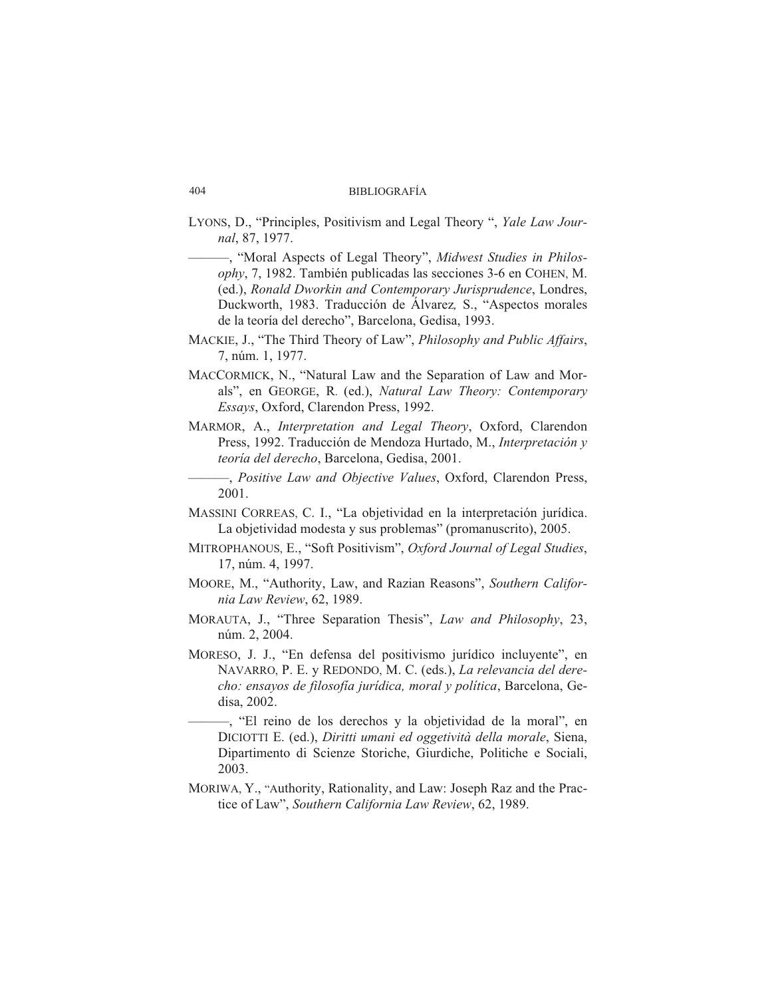- LYONS, D., "Principles, Positivism and Legal Theory ", *Yale Law Journal*, 87, 1977.
	- -, "Moral Aspects of Legal Theory", *Midwest Studies in Philosophy*, 7, 1982. También publicadas las secciones 3-6 en COHEN, M. (ed.), *Ronald Dworkin and Contemporary Jurisprudence*, Londres, Duckworth, 1983. Traducción de Álvarez, S., "Aspectos morales" de la teoría del derecho", Barcelona, Gedisa, 1993.
- MACKIE, J., "The Third Theory of Law", *Philosophy and Public Affairs*. 7, núm. 1, 1977.
- MACCORMICK, N., "Natural Law and the Separation of Law and Morals", en GEORGE, R. (ed.), *Natural Law Theory: Contemporary Essays*, Oxford, Clarendon Press, 1992.
- MARMOR, A., *Interpretation and Legal Theory*, Oxford, Clarendon Press, 1992. Traducción de Mendoza Hurtado, M., *Interpretación y teoría del derecho*, Barcelona, Gedisa, 2001.

———, *Positive Law and Objective Values*, Oxford, Clarendon Press, 2001.

- MASSINI CORREAS, C. I., "La objetividad en la interpretación jurídica. La objetividad modesta y sus problemas" (promanuscrito), 2005.
- MITROPHANOUS, E., "Soft Positivism", *Oxford Journal of Legal Studies*, 17, núm. 4, 1997.
- MOORE, M., "Authority, Law, and Razian Reasons", *Southern California Law Review*, 62, 1989.
- MORAUTA, J., "Three Separation Thesis", *Law and Philosophy*, 23, núm. 2, 2004.
- MORESO, J. J., "En defensa del positivismo jurídico incluyente", en NAVARRO, P. E. y REDONDO, M. C. (eds.), *La relevancia del derecho: ensayos de filosofía jurídica, moral y política, Barcelona, Ge*disa, 2002.
	- ——, "El reino de los derechos y la objetividad de la moral", en DICIOTTI E. (ed.), *Diritti umani ed oggetività della morale*, Siena, Dipartimento di Scienze Storiche, Giurdiche, Politiche e Sociali, 2003.
- MORIWA, Y., "Authority, Rationality, and Law: Joseph Raz and the Practice of Law", *Southern California Law Review*, 62, 1989.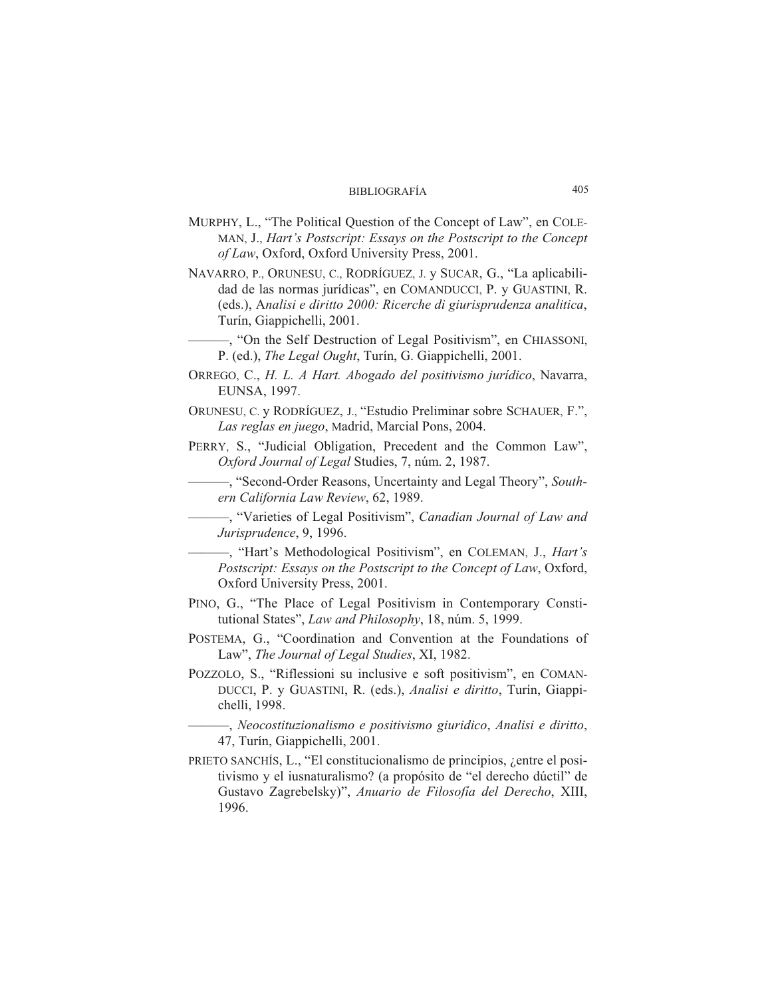- MURPHY, L., "The Political Question of the Concept of Law", en COLE-MAN, J., *Hart's Postscript: Essays on the Postscript to the Concept of Law*, Oxford, Oxford University Press, 2001.
- NAVARRO, P., ORUNESU, C., RODRÍGUEZ, J. y SUCAR, G., "La aplicabilidad de las normas jurídicas", en COMANDUCCI, P. y GUASTINI, R. (eds.), A*na li si e di rit to 2000: Ri cer che di giu ris pru den za ana liti ca*, Turín, Giappichelli, 2001.
- ———, "On the Self Destruction of Legal Positivism", en CHIASSONI, P. (ed.), *The Legal Ought*, Turín, G. Giappichelli, 2001.
- ORREGO, C., *H. L. A Hart. Abogado del positivismo jurídico*, Navarra, EUNSA, 1997.
- ORUNESU, C. y RODRÍGUEZ, J., "Estudio Preliminar sobre SCHAUER, F.", Las reglas en juego, Madrid, Marcial Pons, 2004.
- PERRY, S., "Judicial Obligation, Precedent and the Common Law", *Oxford Journal of Legal Studies, 7, núm. 2, 1987.*

———, "Se cond-Order Rea sons, Uncer tainty and Le gal Theory", *Southern Ca li for nia Law Re view*, 62, 1989.

——, "Varieties of Legal Positivism", *Canadian Journal of Law and Ju ris pru den ce*, 9, 1996.

-, "Hart's Methodological Positivism", en COLEMAN, J., *Hart's Postscript: Essays on the Postscript to the Concept of Law*, Oxford, Oxford University Press, 2001.

- PINO, G., "The Place of Legal Positivism in Contemporary Constitutional States", *Law and Philosophy*, 18, núm. 5, 1999.
- POSTEMA, G., "Coordination and Convention at the Foundations of Law", *The Journal of Legal Studies*, XI, 1982.
- POZZOLO, S., "Riflessioni su inclusive e soft positivism", en COMAN-DUCCI, P. y GUASTINI, R. (eds.), *Analisi e diritto*, Turín, Giappichelli, 1998.

———, *Neo cos ti tu zio na lis mo e po si ti vis mo giu ri di co*, *Ana li si e di rit to*, 47, Turín, Giappichelli, 2001.

PRIETO SANCHÍS, L., "El constitucionalismo de principios, ¿entre el positivismo y el iusnaturalismo? (a propósito de "el derecho dúctil" de Gustavo Zagrebelsky)", *Anuario de Filosofía del Derecho*, XIII, 1996.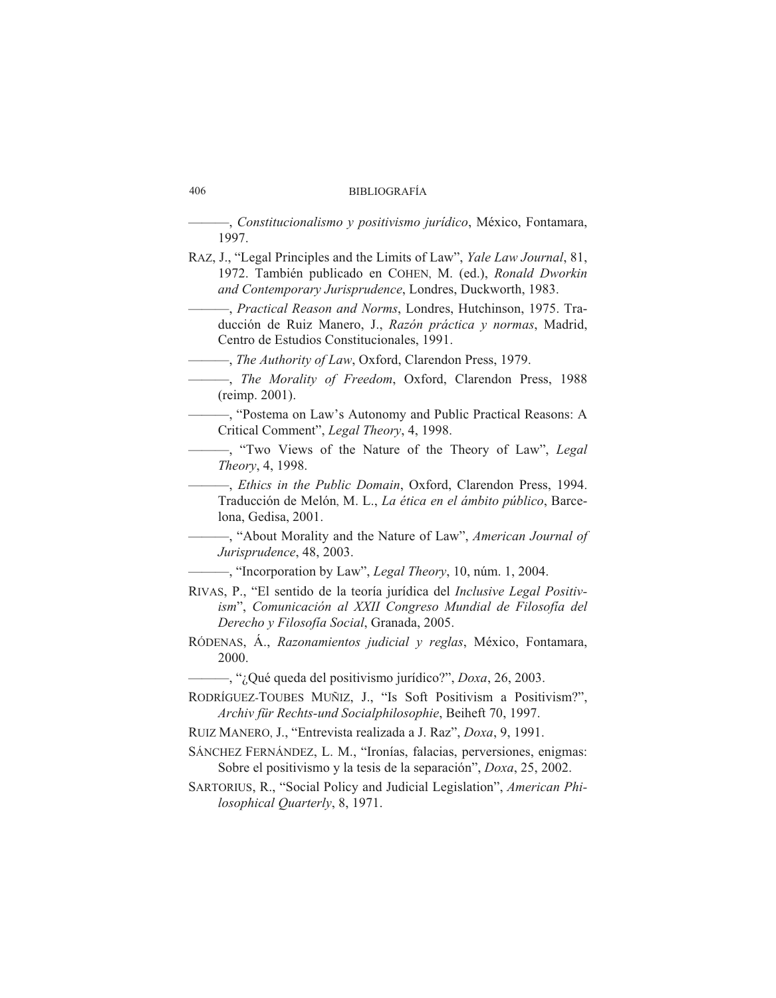## 406 BIBLIOGRAFÍA

———, *Cons ti tu cio na lis mo y po si ti vis mo ju rí di co*, Mé xi co, Fon ta ma ra, 1997.

RAZ, J., "Legal Principles and the Limits of Law", *Yale Law Journal*, 81, 1972. También publicado en COHEN, M. (ed.), *Ronald Dworkin* and Contemporary Jurisprudence, Londres, Duckworth, 1983.

-----, *Practical Reason and Norms*, Londres, Hutchinson, 1975. Traducción de Ruiz Manero, J., *Razón práctica y normas*, Madrid, Centro de Estudios Constitucionales, 1991.

———, *The Authority of Law*, Oxford, Clarendon Press, 1979.

——, *The Morality of Freedom*, Oxford, Clarendon Press, 1988 (reimp. 2001).

-, "Postema on Law's Autonomy and Public Practical Reasons: A Critical Comment", *Legal Theory*, 4, 1998.

——, "Two Views of the Nature of the Theory of Law", *Legal Theory*, 4, 1998.

——, *Ethics in the Public Domain*, Oxford, Clarendon Press, 1994. Traducción de Melón, M. L., *La ética en el ámbito público*, Barcelona, Gedisa, 2001.

——, "About Morality and the Nature of Law", *American Journal of Ju ris pru den ce*, 48, 2003.

——, "Incorporation by Law", *Legal Theory*, 10, núm. 1, 2004.

- RIVAS, P., "El sentido de la teoría jurídica del *Inclusive Legal Positivism*", Comunicación al XXII Congreso Mundial de Filosofía del *De re cho y Fi lo so fía So cial*, Gra na da, 2005.
- RÓDENAS, Á., *Razonamientos judicial y reglas*, México, Fontamara, 2000.

——, "¿Qué queda del positivismo jurídico?", *Doxa*, 26, 2003.

- RODRÍGUEZ-TOUBES MUÑIZ, J., "Is Soft Positivism a Positivism?", *Archiv für Rechts-und So cialp hi lo sop hie*, Beiheft 70, 1997.
- RUIZ MANERO, J., "Entrevista realizada a J. Raz", *Doxa*, 9, 1991.
- SÁNCHEZ FERNÁNDEZ, L. M., "Ironías, falacias, perversiones, enigmas: Sobre el positivismo y la tesis de la separación", *Doxa*, 25, 2002.
- SARTORIUS, R., "Social Policy and Judicial Legislation", *American Philo sop hi cal Quar terly*, 8, 1971.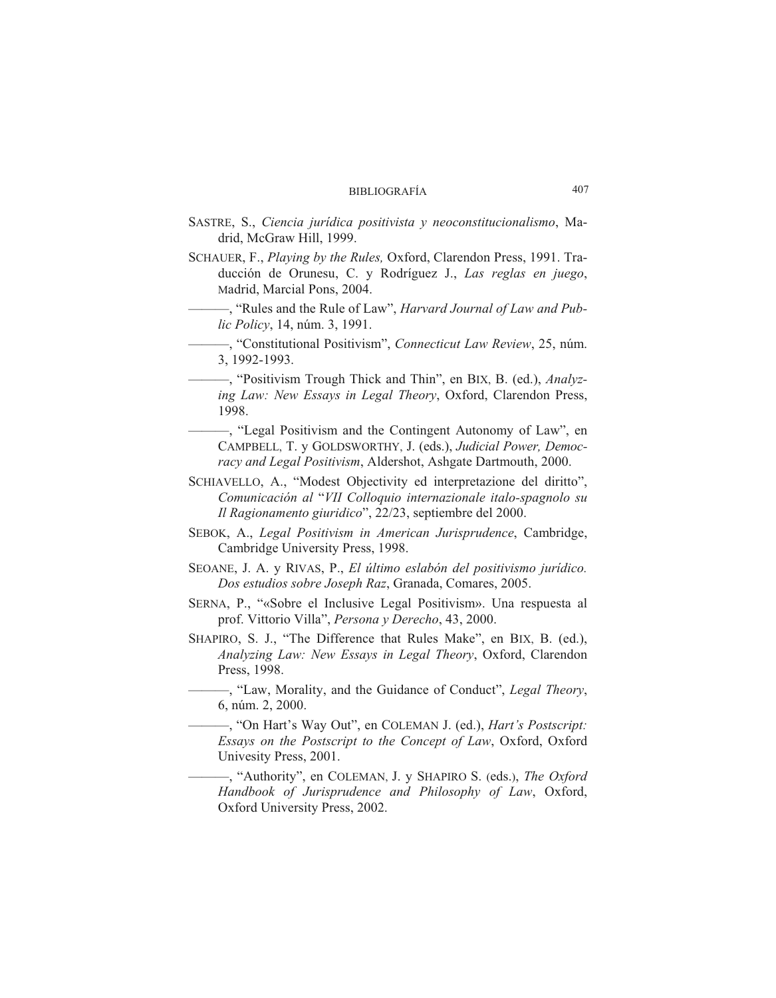- SASTRE, S., *Ciencia jurídica positivista y neoconstitucionalismo*, Madrid, McGraw Hill, 1999.
- SCHAUER, F., *Playing by the Rules*, Oxford, Clarendon Press, 1991. Traducción de Orunesu, C. y Rodríguez J., *Las reglas en juego*, Madrid, Marcial Pons, 2004.

- "Rules and the Rule of Law", *Harvard Journal of Law and Public Po licy*, 14, núm. 3, 1991.

**-**, "Constitutional Positivism", *Connecticut Law Review*, 25, núm. 3, 1992-1993.

- "Positivism Trough Thick and Thin", en BIX, B. (ed.), *Analyzing Law: New Essays in Legal Theory*, Oxford, Clarendon Press, 1998.

——, "Legal Positivism and the Contingent Autonomy of Law", en CAMPBELL, T. y GOLDSWORTHY, J. (eds.), *Judicial Power*, *Democ*racy and Legal Positivism, Aldershot, Ashgate Dartmouth, 2000.

SCHIAVELLO, A., "Modest Objectivity ed interpretazione del diritto", *Co mu ni ca ción al* "*VII Co llo quio in ter na zio na le ita lo-spag no lo su Il Ragionamento giuridico"*, 22/23, septiembre del 2000.

SEBOK, A., *Legal Positivism in American Jurisprudence*, Cambridge, Cambridge University Press, 1998.

SEOANE, J. A. y RIVAS, P., *El último eslabón del positivismo jurídico*. *Dos estudios sobre Joseph Raz*, Granada, Comares, 2005.

- SERNA, P., "«Sobre el Inclusive Legal Positivism». Una respuesta al prof. Vittorio Villa", *Persona y Derecho*, 43, 2000.
- SHAPIRO, S. J., "The Difference that Rules Make", en BIX, B. (ed.), *Analyzing Law: New Essays in Legal Theory*, Oxford, Clarendon Press, 1998.
	- —, "Law, Morality, and the Guidance of Conduct", *Legal Theory*, 6, núm. 2, 2000.

———, "On Hart's Way Out", en COLE MAN J. (ed.), *Hart's Postscript: Essays on the Postscript to the Con cept of Law*, Oxford, Oxford Univesity Press, 2001.

——, "Authority", en COLEMAN, J. y SHAPIRO S. (eds.), *The Oxford* Handbook of Jurisprudence and Philosophy of Law, Oxford, Oxford University Press, 2002.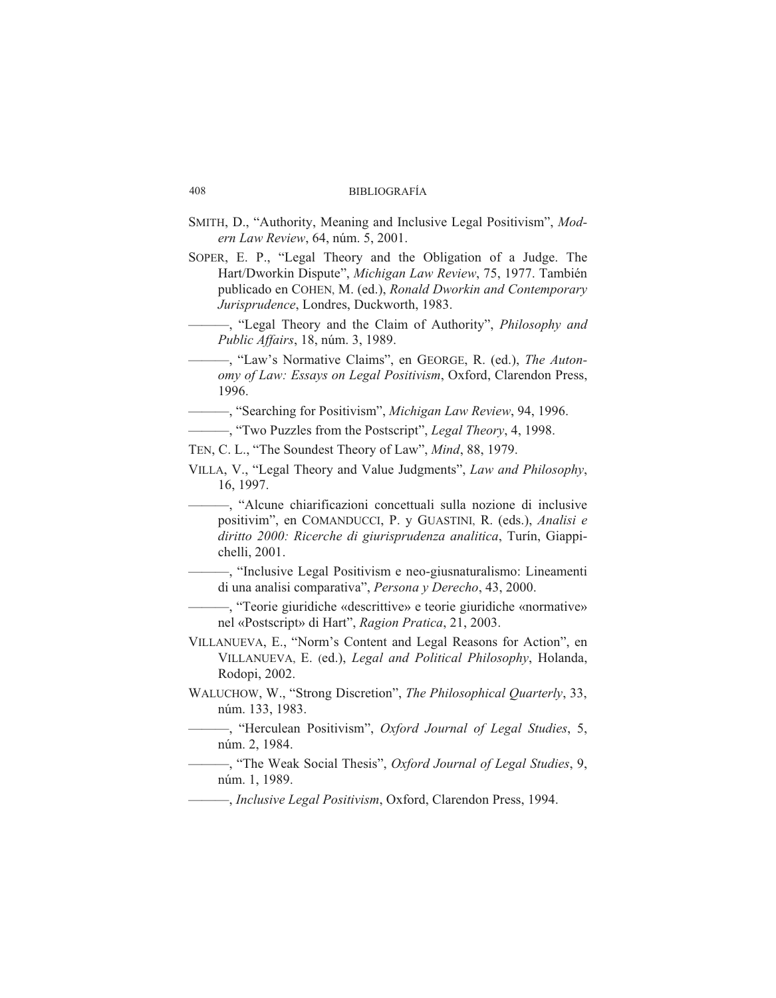- SMITH, D., "Authority, Meaning and Inclusive Legal Positivism", Mod*ern Law Re view*, 64, núm. 5, 2001.
- SOPER, E. P., "Legal Theory and the Obligation of a Judge. The Hart/Dworkin Dispute", *Michigan Law Review*, 75, 1977. También publicado en COHEN, M. (ed.), *Ronald Dworkin and Contemporary Ju ris pru den ce*, Lon dres, Duck worth, 1983.
	- ——, "Legal Theory and the Claim of Authority", *Philosophy and Pu blic Affairs*, 18, núm. 3, 1989.
	- "Law's Normative Claims", en GEORGE, R. (ed.), *The Autonomy of Law: Essays on Legal Positivism*, Oxford, Clarendon Press, 1996.

----, "Searching for Positivism", *Michigan Law Review*, 94, 1996.

- ——, "Two Puzzles from the Postscript", *Legal Theory*, 4, 1998.
- TEN, C. L., "The Soundest Theory of Law", *Mind*, 88, 1979.
- VILLA, V., "Legal Theory and Value Judgments", *Law and Philosophy*, 16, 1997.
	- ——, "Alcune chiarificazioni concettuali sulla nozione di inclusive positivim", en COMANDUCCI, P. y GUASTINI, R. (eds.), *Analisi e* diritto 2000: Ricerche di giurisprudenza analitica, Turín, Giappichelli, 2001.
		- ——, "Inclusive Legal Positivism e neo-gius naturalismo: Linea menti di una analisi comparativa", *Persona y Derecho*, 43, 2000.

——, "Teorie giuridiche «descrittive» e teorie giuridiche «normative» nel «Postscript» di Hart", *Ragion Pratica*, 21, 2003.

- VILLANUEVA, E., "Norm's Content and Legal Reasons for Action", en VILLANUEVA, E. (ed.), *Legal and Political Philosophy*, Holanda, Rodopi, 2002.
- WALUCHOW, W., "Strong Discretion", *The Philosophical Quarterly*, 33, núm. 133, 1983.
	- —, "Herculean Positivism", *Oxford Journal of Legal Studies*, 5, núm. 2, 1984.
- ——, "The Weak Social Thesis", *Oxford Journal of Legal Studies*, 9, núm. 1, 1989.

*<u>——, Inclusive Legal Positivism, Oxford, Clarendon Press, 1994.</u>*